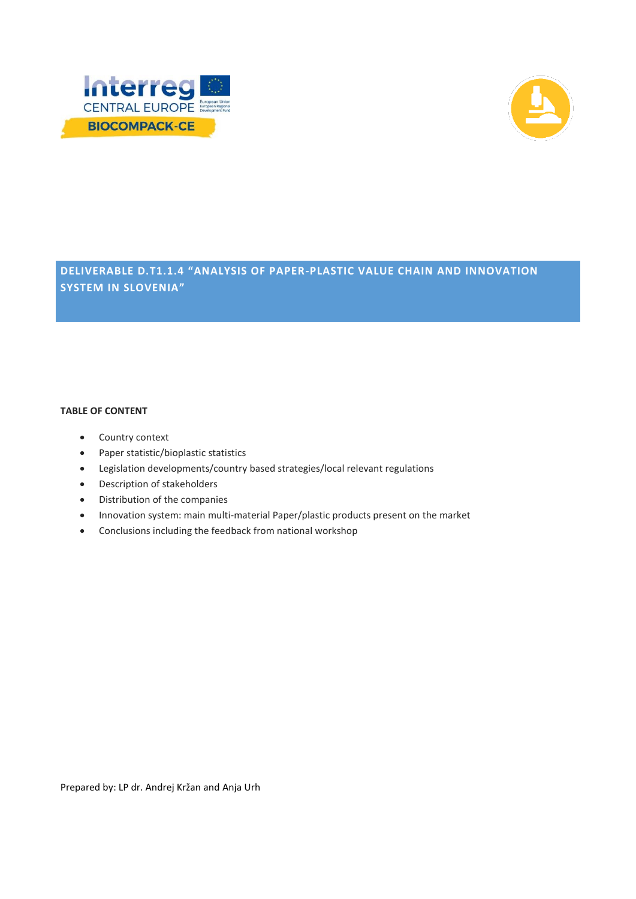



# **DELIVERABLE D.T1.1.4 "ANALYSIS OF PAPER-PLASTIC VALUE CHAIN AND INNOVATION SYSTEM IN SLOVENIA"**

#### **TABLE OF CONTENT**

- Country context
- Paper statistic/bioplastic statistics
- Legislation developments/country based strategies/local relevant regulations
- Description of stakeholders
- Distribution of the companies
- Innovation system: main multi-material Paper/plastic products present on the market
- Conclusions including the feedback from national workshop

Prepared by: LP dr. Andrej Kržan and Anja Urh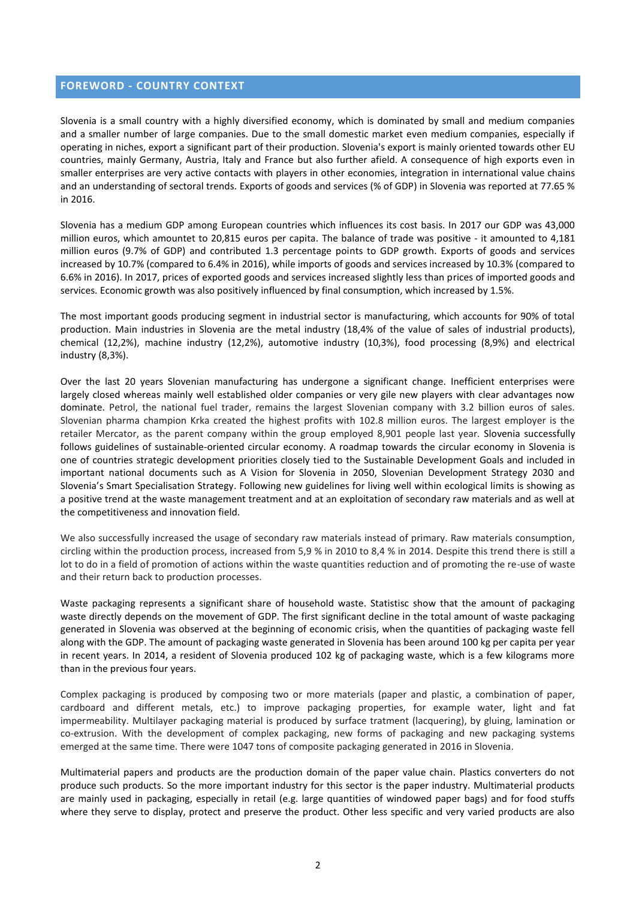#### **FOREWORD - COUNTRY CONTEXT**

Slovenia is a small country with a highly diversified economy, which is dominated by small and medium companies and a smaller number of large companies. Due to the small domestic market even medium companies, especially if operating in niches, export a significant part of their production. Slovenia's export is mainly oriented towards other EU countries, mainly Germany, Austria, Italy and France but also further afield. A consequence of high exports even in smaller enterprises are very active contacts with players in other economies, integration in international value chains and an understanding of sectoral trends. Exports of goods and services (% of GDP) in Slovenia was reported at 77.65 % in 2016.

Slovenia has a medium GDP among European countries which influences its cost basis. In 2017 our GDP was 43,000 million euros, which amountet to 20,815 euros per capita. The balance of trade was positive - it amounted to 4,181 million euros (9.7% of GDP) and contributed 1.3 percentage points to GDP growth. Exports of goods and services increased by 10.7% (compared to 6.4% in 2016), while imports of goods and services increased by 10.3% (compared to 6.6% in 2016). In 2017, prices of exported goods and services increased slightly less than prices of imported goods and services. Economic growth was also positively influenced by final consumption, which increased by 1.5%.

The most important goods producing segment in industrial sector is manufacturing, which accounts for 90% of total production. Main industries in Slovenia are the metal industry (18,4% of the value of sales of industrial products), chemical (12,2%), machine industry (12,2%), automotive industry (10,3%), food processing (8,9%) and electrical industry (8,3%).

Over the last 20 years Slovenian manufacturing has undergone a significant change. Inefficient enterprises were largely closed whereas mainly well established older companies or very gile new players with clear advantages now dominate. Petrol, the national fuel trader, remains the largest Slovenian company with 3.2 billion euros of sales. Slovenian pharma champion Krka created the highest profits with 102.8 million euros. The largest employer is the retailer Mercator, as the parent company within the group employed 8,901 people last year. Slovenia successfully follows guidelines of sustainable-oriented circular economy. A roadmap towards the circular economy in Slovenia is one of countries strategic development priorities closely tied to the Sustainable Development Goals and included in important national documents such as A Vision for Slovenia in 2050, Slovenian Development Strategy 2030 and Slovenia's Smart Specialisation Strategy. Following new guidelines for living well within ecological limits is showing as a positive trend at the waste management treatment and at an exploitation of secondary raw materials and as well at the competitiveness and innovation field.

We also successfully increased the usage of secondary raw materials instead of primary. Raw materials consumption, circling within the production process, increased from 5,9 % in 2010 to 8,4 % in 2014. Despite this trend there is still a lot to do in a field of promotion of actions within the waste quantities reduction and of promoting the re-use of waste and their return back to production processes.

Waste packaging represents a significant share of household waste. Statistisc show that the amount of packaging waste directly depends on the movement of GDP. The first significant decline in the total amount of waste packaging generated in Slovenia was observed at the beginning of economic crisis, when the quantities of packaging waste fell along with the GDP. The amount of packaging waste generated in Slovenia has been around 100 kg per capita per year in recent years. In 2014, a resident of Slovenia produced 102 kg of packaging waste, which is a few kilograms more than in the previous four years.

Complex packaging is produced by composing two or more materials (paper and plastic, a combination of paper, cardboard and different metals, etc.) to improve packaging properties, for example water, light and fat impermeability. Multilayer packaging material is produced by surface tratment (lacquering), by gluing, lamination or co-extrusion. With the development of complex packaging, new forms of packaging and new packaging systems emerged at the same time. There were 1047 tons of composite packaging generated in 2016 in Slovenia.

Multimaterial papers and products are the production domain of the paper value chain. Plastics converters do not produce such products. So the more important industry for this sector is the paper industry. Multimaterial products are mainly used in packaging, especially in retail (e.g. large quantities of windowed paper bags) and for food stuffs where they serve to display, protect and preserve the product. Other less specific and very varied products are also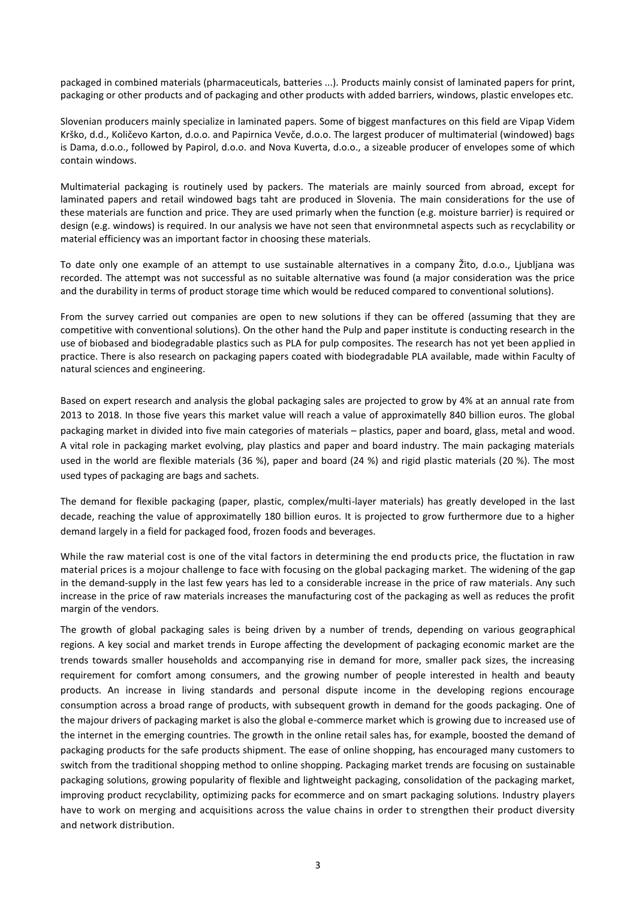packaged in combined materials (pharmaceuticals, batteries ...). Products mainly consist of laminated papers for print, packaging or other products and of packaging and other products with added barriers, windows, plastic envelopes etc.

Slovenian producers mainly specialize in laminated papers. Some of biggest manfactures on this field are Vipap Videm Krško, d.d., Količevo Karton, d.o.o. and Papirnica Vevče, d.o.o. The largest producer of multimaterial (windowed) bags is Dama, d.o.o., followed by Papirol, d.o.o. and Nova Kuverta, d.o.o., a sizeable producer of envelopes some of which contain windows.

Multimaterial packaging is routinely used by packers. The materials are mainly sourced from abroad, except for laminated papers and retail windowed bags taht are produced in Slovenia. The main considerations for the use of these materials are function and price. They are used primarly when the function (e.g. moisture barrier) is required or design (e.g. windows) is required. In our analysis we have not seen that environmnetal aspects such as recyclability or material efficiency was an important factor in choosing these materials.

To date only one example of an attempt to use sustainable alternatives in a company Žito, d.o.o., Ljubljana was recorded. The attempt was not successful as no suitable alternative was found (a major consideration was the price and the durability in terms of product storage time which would be reduced compared to conventional solutions).

From the survey carried out companies are open to new solutions if they can be offered (assuming that they are competitive with conventional solutions). On the other hand the Pulp and paper institute is conducting research in the use of biobased and biodegradable plastics such as PLA for pulp composites. The research has not yet been applied in practice. There is also research on packaging papers coated with biodegradable PLA available, made within Faculty of natural sciences and engineering.

Based on expert research and analysis the global packaging sales are projected to grow by 4% at an annual rate from 2013 to 2018. In those five years this market value will reach a value of approximatelly 840 billion euros. The global packaging market in divided into five main categories of materials – plastics, paper and board, glass, metal and wood. A vital role in packaging market evolving, play plastics and paper and board industry. The main packaging materials used in the world are flexible materials (36 %), paper and board (24 %) and rigid plastic materials (20 %). The most used types of packaging are bags and sachets.

The demand for flexible packaging (paper, plastic, complex/multi-layer materials) has greatly developed in the last decade, reaching the value of approximatelly 180 billion euros. It is projected to grow furthermore due to a higher demand largely in a field for packaged food, frozen foods and beverages.

While the raw material cost is one of the vital factors in determining the end products price, the fluctation in raw material prices is a mojour challenge to face with focusing on the global packaging market. The widening of the gap in the demand-supply in the last few years has led to a considerable increase in the price of raw materials. Any such increase in the price of raw materials increases the manufacturing cost of the packaging as well as reduces the profit margin of the vendors.

The growth of global packaging sales is being driven by a number of trends, depending on various geographical regions. A key social and market trends in Europe affecting the development of packaging economic market are the trends towards smaller households and accompanying rise in demand for more, smaller pack sizes, the increasing requirement for comfort among consumers, and the growing number of people interested in health and beauty products. An increase in living standards and personal dispute income in the developing regions encourage consumption across a broad range of products, with subsequent growth in demand for the goods packaging. One of the majour drivers of packaging market is also the global e-commerce market which is growing due to increased use of the internet in the emerging countries. The growth in the online retail sales has, for example, boosted the demand of packaging products for the safe products shipment. The ease of online shopping, has encouraged many customers to switch from the traditional shopping method to online shopping. Packaging market trends are focusing on sustainable packaging solutions, growing popularity of flexible and lightweight packaging, consolidation of the packaging market, improving product recyclability, optimizing packs for [ecommerce](https://www.smitherspira.com/industry-market-reports/packaging/the-future-of-e-commerce-packaging-to-2022) and on smart packaging solutions. Industry players have to work on merging and acquisitions across the value chains in order to strengthen their product diversity and network distribution.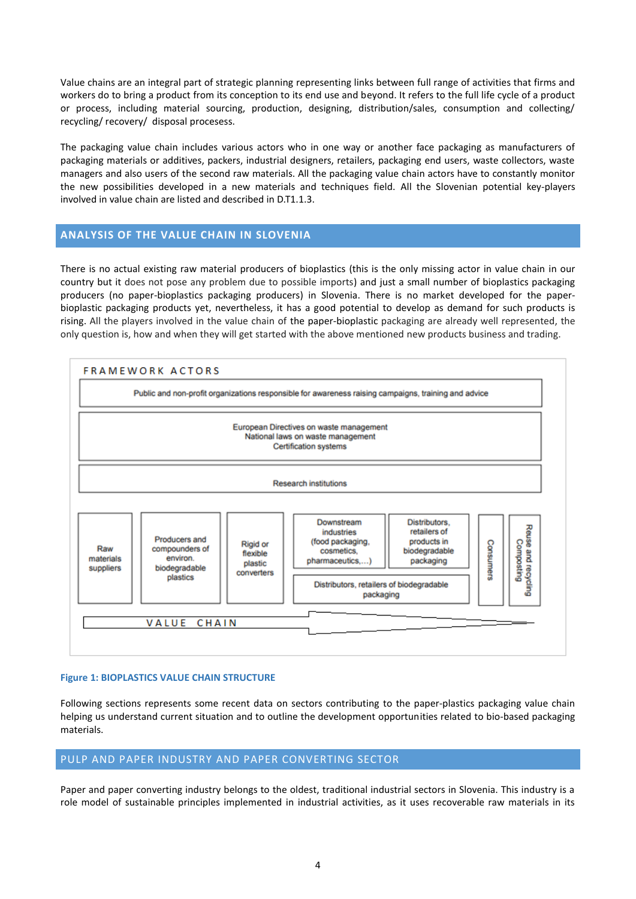Value chains are an integral part of strategic planning representing links between full range of activities that firms and workers do to bring a product from its conception to its end use and beyond. It refers to the full life cycle of a product or process, including material sourcing, production, designing, distribution/sales, consumption and collecting/ recycling/ recovery/ disposal procesess.

The packaging value chain includes various actors who in one way or another face packaging as manufacturers of packaging materials or additives, packers, industrial designers, retailers, packaging end users, waste collectors, waste managers and also users of the second raw materials. All the packaging value chain actors have to constantly monitor the new possibilities developed in a new materials and techniques field. All the Slovenian potential key-players involved in value chain are listed and described in D.T1.1.3.

# **ANALYSIS OF THE VALUE CHAIN IN SLOVENIA**

There is no actual existing raw material producers of bioplastics (this is the only missing actor in value chain in our country but it does not pose any problem due to possible imports) and just a small number of bioplastics packaging producers (no paper-bioplastics packaging producers) in Slovenia. There is no market developed for the paperbioplastic packaging products yet, nevertheless, it has a good potential to develop as demand for such products is rising. All the players involved in the value chain of the paper-bioplastic packaging are already well represented, the only question is, how and when they will get started with the above mentioned new products business and trading.



#### **Figure 1: BIOPLASTICS VALUE CHAIN STRUCTURE**

Following sections represents some recent data on sectors contributing to the paper-plastics packaging value chain helping us understand current situation and to outline the development opportunities related to bio-based packaging materials.

### PULP AND PAPER INDUSTRY AND PAPER CONVERTING SECTOR

Paper and paper converting industry belongs to the oldest, traditional industrial sectors in Slovenia. This industry is a role model of sustainable principles implemented in industrial activities, as it uses recoverable raw materials in its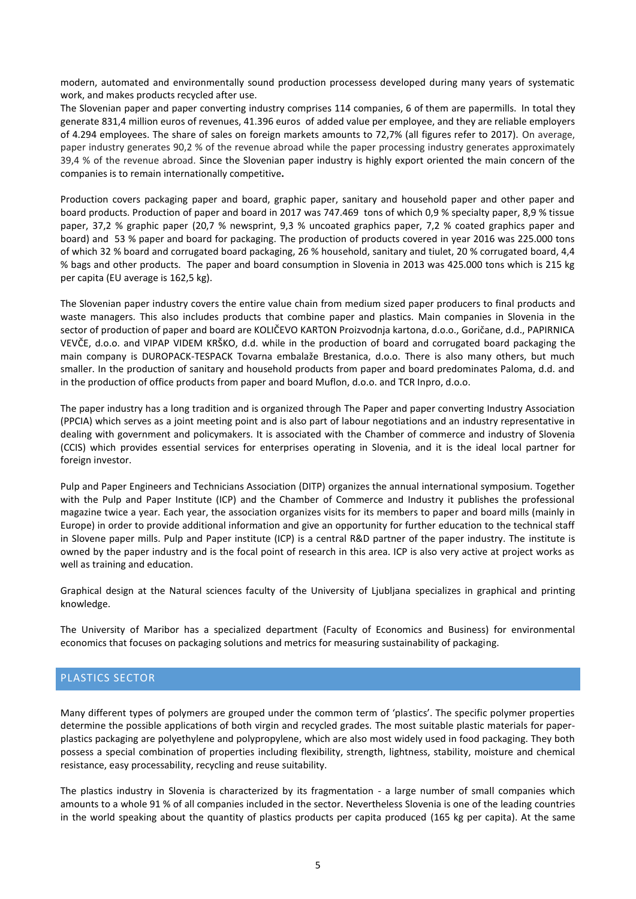modern, automated and environmentally sound production processess developed during many years of systematic work, and makes products recycled after use.

The Slovenian paper and paper converting industry comprises 114 companies, 6 of them are papermills. In total they generate 831,4 million euros of revenues, 41.396 euros of added value per employee, and they are reliable employers of 4.294 employees. The share of sales on foreign markets amounts to 72,7% (all figures refer to 2017). On average, paper industry generates 90,2 % of the revenue abroad while the paper processing industry generates approximately 39,4 % of the revenue abroad. Since the Slovenian paper industry is highly export oriented the main concern of the companies is to remain internationally competitive**.** 

Production covers packaging paper and board, graphic paper, sanitary and household paper and other paper and board products. Production of paper and board in 2017 was 747.469 tons of which 0,9 % specialty paper, 8,9 % tissue paper, 37,2 % graphic paper (20,7 % newsprint, 9,3 % uncoated graphics paper, 7,2 % coated graphics paper and board) and 53 % paper and board for packaging. The production of products covered in year 2016 was 225.000 tons of which 32 % board and corrugated board packaging, 26 % household, sanitary and tiulet, 20 % corrugated board, 4,4 % bags and other products. The paper and board consumption in Slovenia in 2013 was 425.000 tons which is 215 kg per capita (EU average is 162,5 kg).

The Slovenian paper industry covers the entire value chain from medium sized paper producers to final products and waste managers. This also includes products that combine paper and plastics. Main companies in Slovenia in the sector of production of paper and board are KOLIČEVO KARTON Proizvodnja kartona, d.o.o., Goričane, d.d., PAPIRNICA VEVČE, d.o.o. and VIPAP VIDEM KRŠKO, d.d. while in the production of board and corrugated board packaging the main company is DUROPACK-TESPACK Tovarna embalaže Brestanica, d.o.o. There is also many others, but much smaller. In the production of sanitary and household products from paper and board predominates Paloma, d.d. and in the production of office products from paper and board Muflon, d.o.o. and TCR Inpro, d.o.o.

The paper industry has a long tradition and is organized through The Paper and paper converting Industry Association (PPCIA) which serves as a joint meeting point and is also part of labour negotiations and an industry representative in dealing with government and policymakers. It is associated with the Chamber of commerce and industry of Slovenia (CCIS) which provides essential services for enterprises operating in Slovenia, and it is the ideal local partner for foreign investor.

Pulp and Paper Engineers and Technicians Association (DITP) organizes the annual international symposium. Together with the Pulp and Paper Institute (ICP) and the Chamber of Commerce and Industry it publishes the professional magazine twice a year. Each year, the association organizes visits for its members to paper and board mills (mainly in Europe) in order to provide additional information and give an opportunity for further education to the technical staff in Slovene paper mills. Pulp and Paper institute (ICP) is a central R&D partner of the paper industry. The institute is owned by the paper industry and is the focal point of research in this area. ICP is also very active at project works as well as training and education.

Graphical design at the Natural sciences faculty of the University of Ljubljana specializes in graphical and printing knowledge.

The University of Maribor has a specialized department (Faculty of Economics and Business) for environmental economics that focuses on packaging solutions and metrics for measuring sustainability of packaging.

# PLASTICS SECTOR

Many different types of polymers are grouped under the common term of 'plastics'. The specific polymer properties determine the possible applications of both virgin and recycled grades. The most suitable plastic materials for paperplastics packaging are polyethylene and polypropylene, which are also most widely used in food packaging. They both possess a special combination of properties including flexibility, strength, lightness, stability, moisture and chemical resistance, easy processability, recycling and reuse suitability.

The plastics industry in Slovenia is characterized by its fragmentation - a large number of small companies which amounts to a whole 91 % of all companies included in the sector. Nevertheless Slovenia is one of the leading countries in the world speaking about the quantity of plastics products per capita produced (165 kg per capita). At the same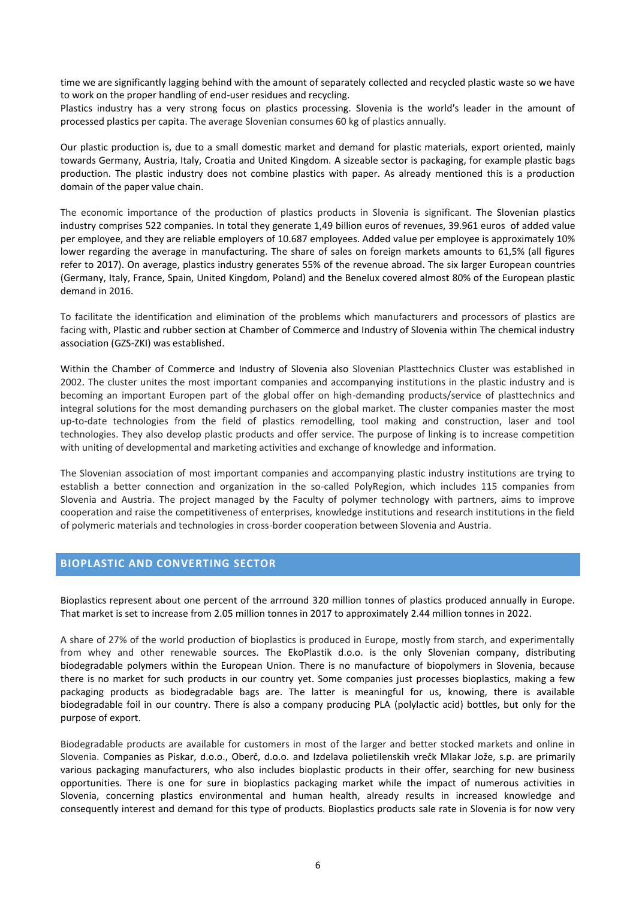time we are significantly lagging behind with the amount of separately collected and recycled plastic waste so we have to work on the proper handling of end-user residues and recycling.

Plastics industry has a very strong focus on plastics processing. Slovenia is the world's leader in the amount of processed plastics per capita. The average Slovenian consumes 60 kg of plastics annually.

Our plastic production is, due to a small domestic market and demand for plastic materials, export oriented, mainly towards Germany, Austria, Italy, Croatia and United Kingdom. A sizeable sector is packaging, for example plastic bags production. The plastic industry does not combine plastics with paper. As already mentioned this is a production domain of the paper value chain.

The economic importance of the production of plastics products in Slovenia is significant. The Slovenian plastics industry comprises 522 companies. In total they generate 1,49 billion euros of revenues, 39.961 euros of added value per employee, and they are reliable employers of 10.687 employees. Added value per employee is approximately 10% lower regarding the average in manufacturing. The share of sales on foreign markets amounts to 61,5% (all figures refer to 2017). On average, plastics industry generates 55% of the revenue abroad. The six larger European countries (Germany, Italy, France, Spain, United Kingdom, Poland) and the Benelux covered almost 80% of the European plastic demand in 2016.

To facilitate the identification and elimination of the problems which manufacturers and processors of plastics are facing with, Plastic and rubber section at Chamber of Commerce and Industry of Slovenia within The chemical industry association (GZS-ZKI) was established.

Within the Chamber of Commerce and Industry of Slovenia also Slovenian Plasttechnics Cluster was established in 2002. The cluster unites the most important companies and accompanying institutions in the plastic industry and is becoming an important Europen part of the global offer on high-demanding products/service of plasttechnics and integral solutions for the most demanding purchasers on the global market. The cluster companies master the most up-to-date technologies from the field of plastics remodelling, tool making and construction, laser and tool technologies. They also develop plastic products and offer service. The purpose of linking is to increase competition with uniting of developmental and marketing activities and exchange of knowledge and information.

The Slovenian association of most important companies and accompanying plastic industry institutions are trying to establish a better connection and organization in the so-called PolyRegion, which includes 115 companies from Slovenia and Austria. The project managed by the Faculty of polymer technology with partners, aims to improve cooperation and raise the competitiveness of enterprises, knowledge institutions and research institutions in the field of polymeric materials and technologies in cross-border cooperation between Slovenia and Austria.

### **BIOPLASTIC AND CONVERTING SECTOR**

Bioplastics represent about one percent of the arrround 320 million tonnes of plastics produced annually in Europe. That market is set to increase from 2.05 million tonnes in 2017 to approximately 2.44 million tonnes in 2022.

A share of 27% of the world production of bioplastics is produced in Europe, mostly from starch, and experimentally from whey and other renewable sources. The EkoPlastik d.o.o. is the only Slovenian company, distributing biodegradable polymers within the European Union. There is no manufacture of biopolymers in Slovenia, because there is no market for such products in our country yet. Some companies just processes bioplastics, making a few packaging products as biodegradable bags are. The latter is meaningful for us, knowing, there is available biodegradable foil in our country. There is also a company producing PLA (polylactic acid) bottles, but only for the purpose of export.

Biodegradable products are available for customers in most of the larger and better stocked markets and online in Slovenia. Companies as Piskar, d.o.o., Oberč, d.o.o. and Izdelava polietilenskih vrečk Mlakar Jože, s.p. are primarily various packaging manufacturers, who also includes bioplastic products in their offer, searching for new business opportunities. There is one for sure in bioplastics packaging market while the impact of numerous activities in Slovenia, concerning plastics environmental and human health, already results in increased knowledge and consequently interest and demand for this type of products. Bioplastics products sale rate in Slovenia is for now very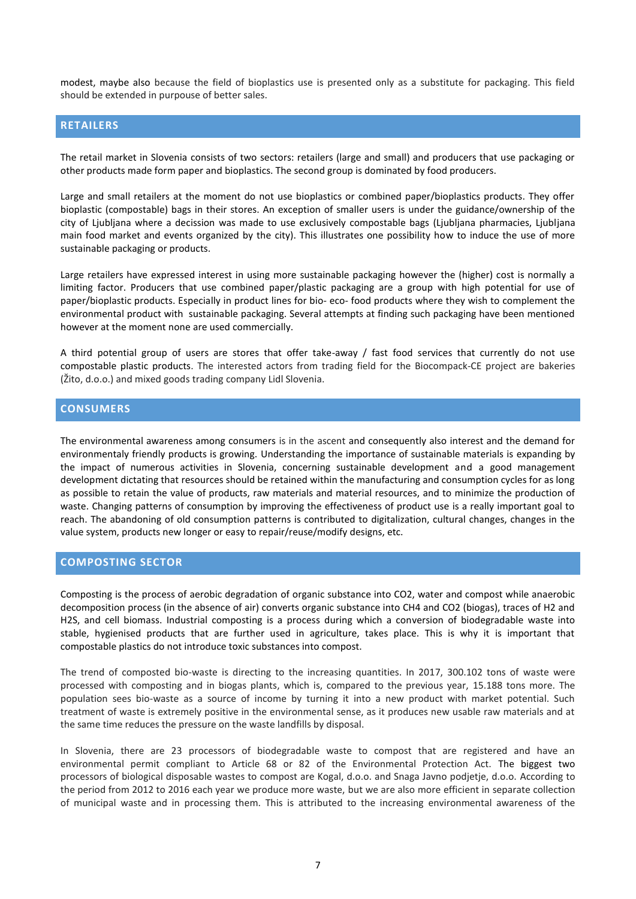modest, maybe also because the field of bioplastics use is presented only as a substitute for packaging. This field should be extended in purpouse of better sales.

### **RETAILERS**

The retail market in Slovenia consists of two sectors: retailers (large and small) and producers that use packaging or other products made form paper and bioplastics. The second group is dominated by food producers.

Large and small retailers at the moment do not use bioplastics or combined paper/bioplastics products. They offer bioplastic (compostable) bags in their stores. An exception of smaller users is under the guidance/ownership of the city of Ljubljana where a decission was made to use exclusively compostable bags (Ljubljana pharmacies, Ljubljana main food market and events organized by the city). This illustrates one possibility how to induce the use of more sustainable packaging or products.

Large retailers have expressed interest in using more sustainable packaging however the (higher) cost is normally a limiting factor. Producers that use combined paper/plastic packaging are a group with high potential for use of paper/bioplastic products. Especially in product lines for bio- eco- food products where they wish to complement the environmental product with sustainable packaging. Several attempts at finding such packaging have been mentioned however at the moment none are used commercially.

A third potential group of users are stores that offer take-away / fast food services that currently do not use compostable plastic products. The interested actors from trading field for the Biocompack-CE project are bakeries (Žito, d.o.o.) and mixed goods trading company Lidl Slovenia.

#### **CONSUMERS**

The environmental awareness among consumers is in the ascent and consequently also interest and the demand for environmentaly friendly products is growing. Understanding the importance of sustainable materials is expanding by the impact of numerous activities in Slovenia, concerning sustainable development and a good management development dictating that resources should be retained within the manufacturing and consumption cycles for as long as possible to retain the value of products, raw materials and material resources, and to minimize the production of waste. Changing patterns of consumption by improving the effectiveness of product use is a really important goal to reach. The abandoning of old consumption patterns is contributed to digitalization, cultural changes, changes in the value system, products new longer or easy to repair/reuse/modify designs, etc.

#### **COMPOSTING SECTOR**

Composting is the process of aerobic degradation of organic substance into CO2, water and compost while anaerobic decomposition process (in the absence of air) converts organic substance into CH4 and CO2 (biogas), traces of H2 and H2S, and cell biomass. Industrial composting is a process during which a conversion of biodegradable waste into stable, hygienised products that are further used in agriculture, takes place. This is why it is important that compostable plastics do not introduce toxic substances into compost.

The trend of composted bio-waste is directing to the increasing quantities. In 2017, 300.102 tons of waste were processed with composting and in biogas plants, which is, compared to the previous year, 15.188 tons more. The population sees bio-waste as a source of income by turning it into a new product with market potential. Such treatment of waste is extremely positive in the environmental sense, as it produces new usable raw materials and at the same time reduces the pressure on the waste landfills by disposal.

In Slovenia, there are 23 processors of biodegradable waste to compost that are registered and have an environmental permit compliant to Article 68 or 82 of the Environmental Protection Act. The biggest two processors of biological disposable wastes to compost are Kogal, d.o.o. and Snaga Javno podjetje, d.o.o. According to the period from 2012 to 2016 each year we produce more waste, but we are also more efficient in separate collection of municipal waste and in processing them. This is attributed to the increasing environmental awareness of the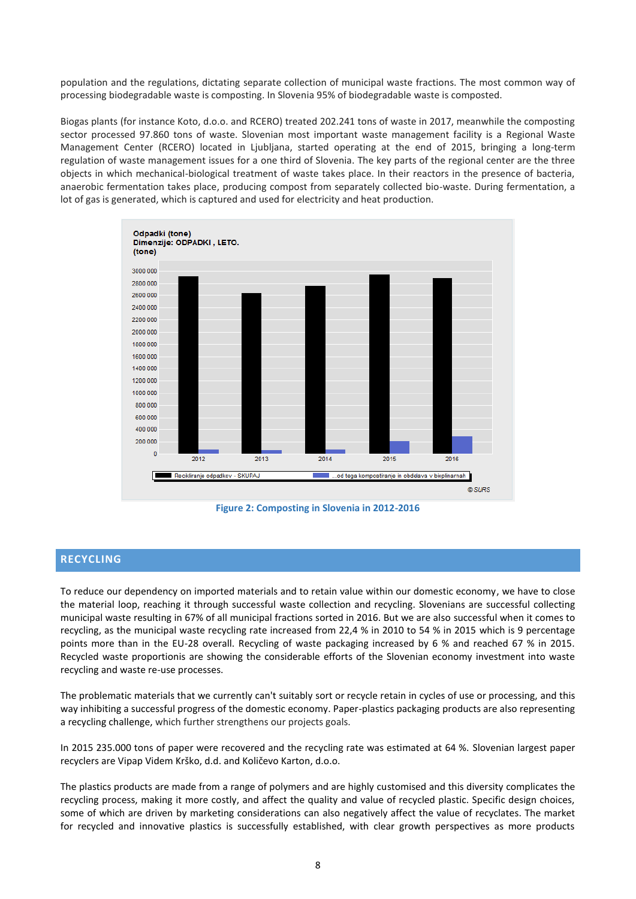population and the regulations, dictating separate collection of municipal waste fractions. The most common way of processing biodegradable waste is composting. In Slovenia 95% of biodegradable waste is composted.

Biogas plants (for instance Koto, d.o.o. and RCERO) treated 202.241 tons of waste in 2017, meanwhile the composting sector processed 97.860 tons of waste. Slovenian most important waste management facility is a Regional Waste Management Center (RCERO) located in Ljubljana, started operating at the end of 2015, bringing a long-term regulation of waste management issues for a one third of Slovenia. The key parts of the regional center are the three objects in which mechanical-biological treatment of waste takes place. In their reactors in the presence of bacteria, anaerobic fermentation takes place, producing compost from separately collected bio-waste. During fermentation, a lot of gas is generated, which is captured and used for electricity and heat production.



**Figure 2: Composting in Slovenia in 2012-2016**

### **RECYCLING**

To reduce our dependency on imported materials and to retain value within our domestic economy, we have to close the material loop, reaching it through successful waste collection and recycling. Slovenians are successful collecting municipal waste resulting in 67% of all municipal fractions sorted in 2016. But we are also successful when it comes to recycling, as the municipal waste recycling rate increased from 22,4 % in 2010 to 54 % in 2015 which is 9 percentage points more than in the EU-28 overall. Recycling of waste packaging increased by 6 % and reached 67 % in 2015. Recycled waste proportionis are showing the considerable efforts of the Slovenian economy investment into waste recycling and waste re-use processes.

The problematic materials that we currently can't suitably sort or recycle retain in cycles of use or processing, and this way inhibiting a successful progress of the domestic economy. Paper-plastics packaging products are also representing a recycling challenge, which further strengthens our projects goals.

In 2015 235.000 tons of paper were recovered and the recycling rate was estimated at 64 %. Slovenian largest paper recyclers are Vipap Videm Krško, d.d. and Količevo Karton, d.o.o.

The plastics products are made from a range of polymers and are highly customised and this diversity complicates the recycling process, making it more costly, and affect the quality and value of recycled plastic. Specific design choices, some of which are driven by marketing considerations can also negatively affect the value of recyclates. The market for recycled and innovative plastics is successfully established, with clear growth perspectives as more products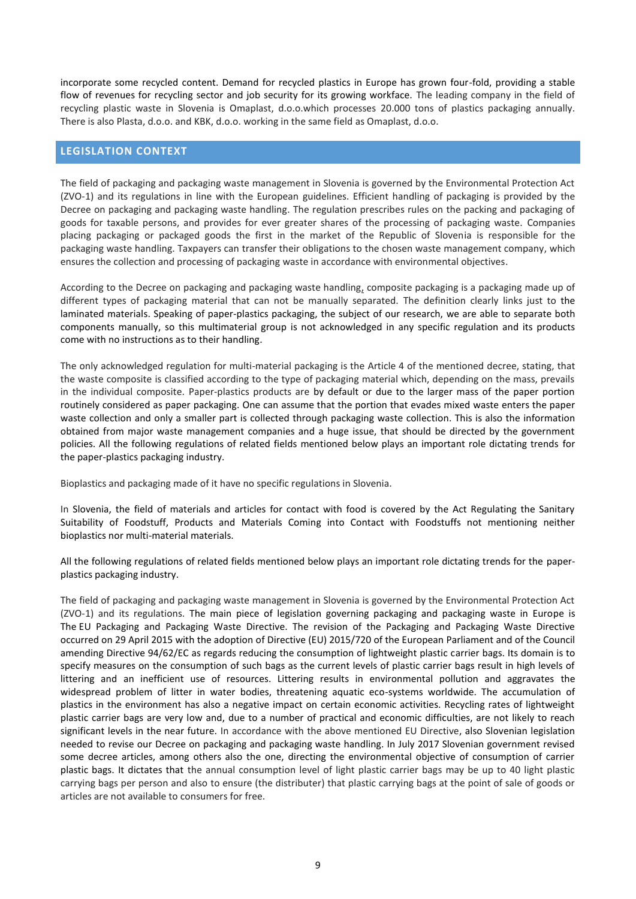incorporate some recycled content. Demand for recycled plastics in Europe has grown four-fold, providing a stable flow of revenues for recycling sector and job security for its growing workface. The leading company in the field of recycling plastic waste in Slovenia is Omaplast, d.o.o.which processes 20.000 tons of plastics packaging annually. There is also Plasta, d.o.o. and KBK, d.o.o. working in the same field as Omaplast, d.o.o.

### **LEGISLATION CONTEXT**

The field of packaging and packaging waste management in Slovenia is governed by the Environmental Protection Act (ZVO-1) and its regulations in line with the European guidelines. Efficient handling of packaging is provided by the Decree on packaging and packaging waste handling. The regulation prescribes rules on the packing and packaging of goods for taxable persons, and provides for ever greater shares of the processing of packaging waste. Companies placing packaging or packaged goods the first in the market of the Republic of Slovenia is responsible for the packaging waste handling. Taxpayers can transfer their obligations to the chosen waste management company, which ensures the collection and processing of packaging waste in accordance with environmental objectives.

According to the Decree on packaging and packaging waste handling, composite packaging is a packaging made up of different types of packaging material that can not be manually separated. The definition clearly links just to the laminated materials. Speaking of paper-plastics packaging, the subject of our research, we are able to separate both components manually, so this multimaterial group is not acknowledged in any specific regulation and its products come with no instructions as to their handling.

The only acknowledged regulation for multi-material packaging is the Article 4 of the mentioned decree, stating, that the waste composite is classified according to the type of packaging material which, depending on the mass, prevails in the individual composite. Paper-plastics products are by default or due to the larger mass of the paper portion routinely considered as paper packaging. One can assume that the portion that evades mixed waste enters the paper waste collection and only a smaller part is collected through packaging waste collection. This is also the information obtained from major waste management companies and a huge issue, that should be directed by the government policies. All the following regulations of related fields mentioned below plays an important role dictating trends for the paper-plastics packaging industry.

Bioplastics and packaging made of it have no specific regulations in Slovenia.

In Slovenia, the field of materials and articles for contact with food is covered by the Act Regulating the Sanitary Suitability of Foodstuff, Products and Materials Coming into Contact with Foodstuffs not mentioning neither bioplastics nor multi-material materials.

All the following regulations of related fields mentioned below plays an important role dictating trends for the paperplastics packaging industry.

The field of packaging and packaging waste management in Slovenia is governed by the Environmental Protection Act (ZVO-1) and its regulations. The main piece of legislation governing packaging and packaging waste in Europe is The EU [Packaging](http://ec.europa.eu/environment/waste/packaging_index.htm) and Packaging Waste Directive. The revision of the Packaging and Packaging Waste Directive occurred on 29 April 2015 with the adoption of Directive (EU) [2015/720](http://eur-lex.europa.eu/legal-content/EN/TXT/?uri=CELEX:32015L0720) of the European Parliament and of the Council amending Directive 94/62/EC as regards reducing the consumption of lightweight plastic carrier bags. Its domain is to specify measures on the consumption of such bags as the current levels of plastic carrier bags result in high levels of littering and an inefficient use of resources. Littering results in environmental pollution and aggravates the widespread problem of litter in water bodies, threatening aquatic eco-systems worldwide. The accumulation of plastics in the environment has also a negative impact on certain economic activities. Recycling rates of lightweight plastic carrier bags are very low and, due to a number of practical and economic difficulties, are not likely to reach significant levels in the near future. In accordance with the above mentioned EU Directive, also Slovenian legislation needed to revise our Decree on packaging and packaging waste handling. In July 2017 Slovenian government revised some decree articles, among others also the one, directing the environmental objective of consumption of carrier plastic bags. It dictates that the annual consumption level of light plastic carrier bags may be up to 40 light plastic carrying bags per person and also to ensure (the distributer) that plastic carrying bags at the point of sale of goods or articles are not available to consumers for free.